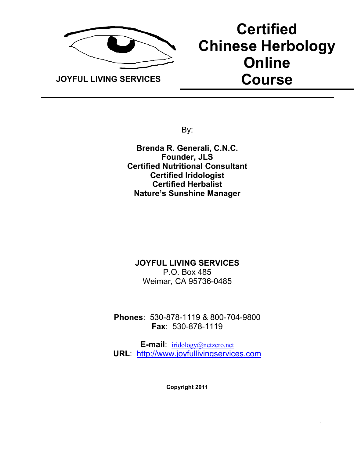

# **Certified Chinese Herbology Online Course**

By:

**Brenda R. Generali, C.N.C. Founder, JLS Certified Nutritional Consultant Certified Iridologist Certified Herbalist Nature's Sunshine Manager**

## **JOYFUL LIVING SERVICES** P.O. Box 485 Weimar, CA 95736-0485

**Phones**: 530-878-1119 & 800-704-9800 **Fax**: 530-878-1119

**E-mail**: iridology@netzero.net **URL**: http://www.joyfullivingservices.com

**Copyright 2011**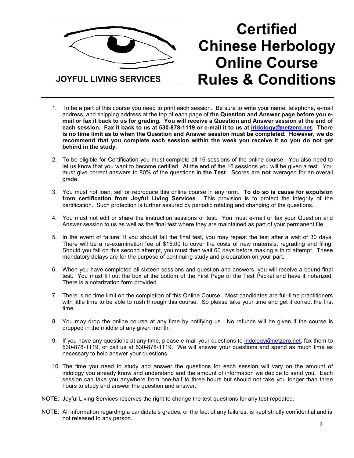

# **Certified Chinese Herbology Online Course Rules & Conditions**

- 1. To be a part of this course you need to print each session. Be sure to write your name, telephone, e-mail address, and shipping address at the top of each page of **the Question and Answer page before you email or fax it back to us for grading. You will receive a Question and Answer session at the end of each session. Fax it back to us at 530-878-1119 or e-mail it to us at iridology@netzero.net. There is no time limit as to when the Question and Answer session must be completed. However, we do recommend that you complete each session within the week you receive it so you do not get behind in the study**.
- 2. To be eligible for Certification you must complete all 16 sessions of the online course. You also need to let us know that you want to become certified. At the end of the 16 sessions you will be given a test. You must give correct answers to 80% of the questions in **the Test**. Scores are **not** averaged for an overall grade.
- 3. You must not loan, sell or reproduce this online course in any form. **To do so is cause for expulsion from certification from Joyful Living Services**. This provision is to protect the integrity of the certification. Such protection is further assured by periodic rotating and changing of the questions.
- 4. You must not edit or share the instruction sessions or test. You must e-mail or fax your Question and Answer session to us as well as the final test where they are maintained as part of your permanent file.
- 5. In the event of failure: If you should fail the final test, you may repeat the test after a wait of 30 days. There will be a re-examination fee of \$15.00 to cover the costs of new materials, regrading and filing. Should you fail on this second attempt, you must then wait 60 days before making a third attempt. These mandatory delays are for the purpose of continuing study and preparation on your part.
- 6. When you have completed all sixteen sessions and question and answers, you will receive a bound final test. You must fill out the box at the bottom of the First Page of the Test Packet and have it notarized. There is a notarization form provided.
- 7. There is no time limit on the completion of this Online Course. Most candidates are full-time practitioners with little time to be able to rush through this course. So please take your time and get it correct the first time.
- 8. You may drop the online course at any time by notifying us. No refunds will be given if the course is dropped in the middle of any given month.
- 9. If you have any questions at any time, please e-mail your questions to iridology@netzero.net, fax them to 530-878-1119, or call us at 530-878-1119. We will answer your questions and spend as much time as necessary to help answer your questions.
- 10. The time you need to study and answer the questions for each session will vary on the amount of iridology you already know and understand and the amount of information we decide to send you. Each session can take you anywhere from one-half to three hours but should not take you longer than three hours to study and answer the question and answer.
- NOTE: Joyful Living Services reserves the right to change the test questions for any test repeated.
- NOTE: All information regarding a candidate's grades, or the fact of any failures, is kept strictly confidential and is not released to any person.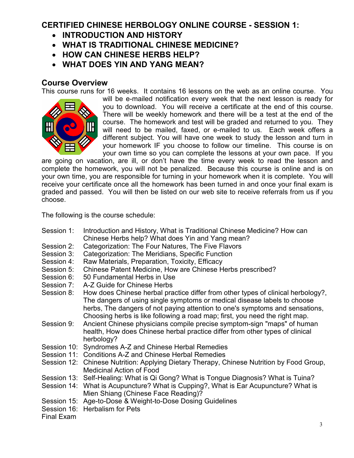# **CERTIFIED CHINESE HERBOLOGY ONLINE COURSE - SESSION 1:**

- **INTRODUCTION AND HISTORY**
- **WHAT IS TRADITIONAL CHINESE MEDICINE?**
- **HOW CAN CHINESE HERBS HELP?**
- **WHAT DOES YIN AND YANG MEAN?**

# **Course Overview**

This course runs for 16 weeks. It contains 16 lessons on the web as an online course. You



will be e-mailed notification every week that the next lesson is ready for you to download. You will receive a certificate at the end of this course. There will be weekly homework and there will be a test at the end of the course. The homework and test will be graded and returned to you. They will need to be mailed, faxed, or e-mailed to us. Each week offers a different subject. You will have one week to study the lesson and turn in your homework IF you choose to follow our timeline. This course is on your own time so you can complete the lessons at your own pace. If you

are going on vacation, are ill, or don't have the time every week to read the lesson and complete the homework, you will not be penalized. Because this course is online and is on your own time, you are responsible for turning in your homework when it is complete. You will receive your certificate once all the homework has been turned in and once your final exam is graded and passed. You will then be listed on our web site to receive referrals from us if you choose.

The following is the course schedule:

- Session 1: Introduction and History, What is Traditional Chinese Medicine? How can Chinese Herbs help? What does Yin and Yang mean?
- Session 2: Categorization: The Four Natures, The Five Flavors
- Session 3: Categorization: The Meridians, Specific Function
- Session 4: Raw Materials, Preparation, Toxicity, Efficacy<br>Session 5: Chinese Patent Medicine. How are Chinese H
- Chinese Patent Medicine, How are Chinese Herbs prescribed?
- Session 6: 50 Fundamental Herbs in Use
- Session 7: A-Z Guide for Chinese Herbs
- Session 8: How does Chinese herbal practice differ from other types of clinical herbology?, The dangers of using single symptoms or medical disease labels to choose herbs, The dangers of not paying attention to one's symptoms and sensations, Choosing herbs is like following a road map; first, you need the right map.
- Session 9: Ancient Chinese physicians compile precise symptom-sign "maps" of human health, How does Chinese herbal practice differ from other types of clinical herbology?
- Session 10: Syndromes A-Z and Chinese Herbal Remedies
- Session 11: Conditions A-Z and Chinese Herbal Remedies
- Session 12: Chinese Nutrition: Applying Dietary Therapy, Chinese Nutrition by Food Group, Medicinal Action of Food
- Session 13: Self-Healing: What is Qi Gong? What is Tongue Diagnosis? What is Tuina?
- Session 14: What is Acupuncture? What is Cupping?, What is Ear Acupuncture? What is Mien Shiang (Chinese Face Reading)?
- Session 15: Age-to-Dose & Weight-to-Dose Dosing Guidelines
- Session 16: Herbalism for Pets

Final Exam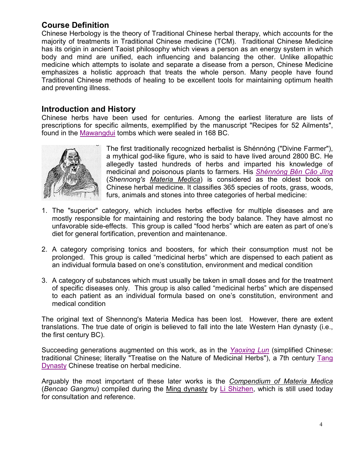# **Course Definition**

Chinese Herbology is the theory of Traditional Chinese herbal therapy, which accounts for the majority of treatments in Traditional Chinese medicine (TCM). Traditional Chinese Medicine has its origin in ancient Taoist philosophy which views a person as an energy system in which body and mind are unified, each influencing and balancing the other. Unlike allopathic medicine which attempts to isolate and separate a disease from a person, Chinese Medicine emphasizes a holistic approach that treats the whole person. Many people have found Traditional Chinese methods of healing to be excellent tools for maintaining optimum health and preventing illness.

# **Introduction and History**

Chinese herbs have been used for centuries. Among the earliest literature are lists of prescriptions for specific ailments, exemplified by the manuscript "Recipes for 52 Ailments", found in the Mawangdui tombs which were sealed in 168 BC.



The first traditionally recognized herbalist is Shénnóng ("Divine Farmer"), a mythical god-like figure, who is said to have lived around 2800 BC. He allegedly tasted hundreds of herbs and imparted his knowledge of medicinal and poisonous plants to farmers. His *Shénnóng Běn Cǎo Jīng* (*Shennong's Materia Medica*) is considered as the oldest book on Chinese herbal medicine. It classifies 365 species of roots, grass, woods, furs, animals and stones into three categories of herbal medicine:

- 1. The "superior" category, which includes herbs effective for multiple diseases and are mostly responsible for maintaining and restoring the body balance. They have almost no unfavorable side-effects. This group is called "food herbs" which are eaten as part of one's diet for general fortification, prevention and maintenance.
- 2. A category comprising tonics and boosters, for which their consumption must not be prolonged. This group is called "medicinal herbs" which are dispensed to each patient as an individual formula based on one's constitution, environment and medical condition
- 3. A category of substances which must usually be taken in small doses and for the treatment of specific diseases only. This group is also called "medicinal herbs" which are dispensed to each patient as an individual formula based on one's constitution, environment and medical condition

The original text of Shennong's Materia Medica has been lost. However, there are extent translations. The true date of origin is believed to fall into the late Western Han dynasty (i.e., the first century BC).

Succeeding generations augmented on this work, as in the *Yaoxing Lun* (simplified Chinese: traditional Chinese; literally "Treatise on the Nature of Medicinal Herbs"), a 7th century Tang Dynasty Chinese treatise on herbal medicine.

Arguably the most important of these later works is the *Compendium of Materia Medica* (*Bencao Gangmu*) compiled during the Ming dynasty by Li Shizhen, which is still used today for consultation and reference.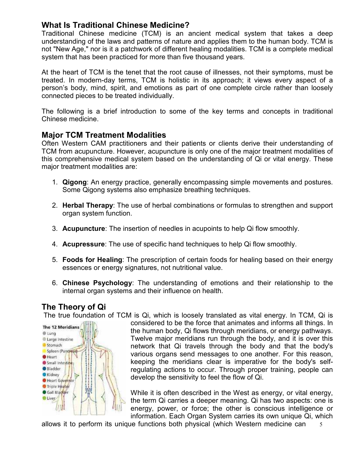# **What Is Traditional Chinese Medicine?**

Traditional Chinese medicine (TCM) is an ancient medical system that takes a deep understanding of the laws and patterns of nature and applies them to the human body. TCM is not "New Age," nor is it a patchwork of different healing modalities. TCM is a complete medical system that has been practiced for more than five thousand years.

At the heart of TCM is the tenet that the root cause of illnesses, not their symptoms, must be treated. In modern-day terms, TCM is holistic in its approach; it views every aspect of a person's body, mind, spirit, and emotions as part of one complete circle rather than loosely connected pieces to be treated individually.

The following is a brief introduction to some of the key terms and concepts in traditional Chinese medicine.

#### **Major TCM Treatment Modalities**

Often Western CAM practitioners and their patients or clients derive their understanding of TCM from acupuncture. However, acupuncture is only one of the major treatment modalities of this comprehensive medical system based on the understanding of Qi or vital energy. These major treatment modalities are:

- 1. **Qigong**: An energy practice, generally encompassing simple movements and postures. Some Qigong systems also emphasize breathing techniques.
- 2. **Herbal Therapy**: The use of herbal combinations or formulas to strengthen and support organ system function.
- 3. **Acupuncture**: The insertion of needles in acupoints to help Qi flow smoothly.
- 4. **Acupressure**: The use of specific hand techniques to help Qi flow smoothly.
- 5. **Foods for Healing**: The prescription of certain foods for healing based on their energy essences or energy signatures, not nutritional value.
- 6. **Chinese Psychology**: The understanding of emotions and their relationship to the internal organ systems and their influence on health.

# **The Theory of Qi**

The true foundation of TCM is Qi, which is loosely translated as vital energy. In TCM, Qi is



considered to be the force that animates and informs all things. In the human body, Qi flows through meridians, or energy pathways. Twelve major meridians run through the body, and it is over this network that Qi travels through the body and that the body's various organs send messages to one another. For this reason, keeping the meridians clear is imperative for the body's selfregulating actions to occur. Through proper training, people can develop the sensitivity to feel the flow of Qi.

While it is often described in the West as energy, or vital energy, the term Qi carries a deeper meaning. Qi has two aspects: one is energy, power, or force; the other is conscious intelligence or information. Each Organ System carries its own unique Qi, which

5 allows it to perform its unique functions both physical (which Western medicine can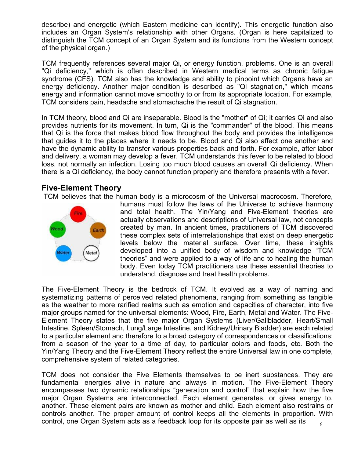describe) and energetic (which Eastern medicine can identify). This energetic function also includes an Organ System's relationship with other Organs. (Organ is here capitalized to distinguish the TCM concept of an Organ System and its functions from the Western concept of the physical organ.)

TCM frequently references several major Qi, or energy function, problems. One is an overall "Qi deficiency," which is often described in Western medical terms as chronic fatigue syndrome (CFS). TCM also has the knowledge and ability to pinpoint which Organs have an energy deficiency. Another major condition is described as "Qi stagnation," which means energy and information cannot move smoothly to or from its appropriate location. For example, TCM considers pain, headache and stomachache the result of Qi stagnation.

In TCM theory, blood and Qi are inseparable. Blood is the "mother" of Qi; it carries Qi and also provides nutrients for its movement. In turn, Qi is the "commander" of the blood. This means that Qi is the force that makes blood flow throughout the body and provides the intelligence that guides it to the places where it needs to be. Blood and Qi also affect one another and have the dynamic ability to transfer various properties back and forth. For example, after labor and delivery, a woman may develop a fever. TCM understands this fever to be related to blood loss, not normally an infection. Losing too much blood causes an overall Qi deficiency. When there is a Qi deficiency, the body cannot function properly and therefore presents with a fever.

## **Five-Element Theory**

TCM believes that the human body is a microcosm of the Universal macrocosm. Therefore,



humans must follow the laws of the Universe to achieve harmony and total health. The Yin/Yang and Five-Element theories are actually observations and descriptions of Universal law, not concepts created by man. In ancient times, practitioners of TCM discovered these complex sets of interrelationships that exist on deep energetic levels below the material surface. Over time, these insights developed into a unified body of wisdom and knowledge "TCM theories" and were applied to a way of life and to healing the human body. Even today TCM practitioners use these essential theories to understand, diagnose and treat health problems.

The Five-Element Theory is the bedrock of TCM. It evolved as a way of naming and systematizing patterns of perceived related phenomena, ranging from something as tangible as the weather to more rarified realms such as emotion and capacities of character, into five major groups named for the universal elements: Wood, Fire, Earth, Metal and Water. The Five-Element Theory states that the five major Organ Systems (Liver/Gallbladder, Heart/Small Intestine, Spleen/Stomach, Lung/Large Intestine, and Kidney/Urinary Bladder) are each related to a particular element and therefore to a broad category of correspondences or classifications: from a season of the year to a time of day, to particular colors and foods, etc. Both the Yin/Yang Theory and the Five-Element Theory reflect the entire Universal law in one complete, comprehensive system of related categories.

TCM does not consider the Five Elements themselves to be inert substances. They are fundamental energies alive in nature and always in motion. The Five-Element Theory encompasses two dynamic relationships "generation and control" that explain how the five major Organ Systems are interconnected. Each element generates, or gives energy to, another. These element pairs are known as mother and child. Each element also restrains or controls another. The proper amount of control keeps all the elements in proportion. With control, one Organ System acts as a feedback loop for its opposite pair as well as its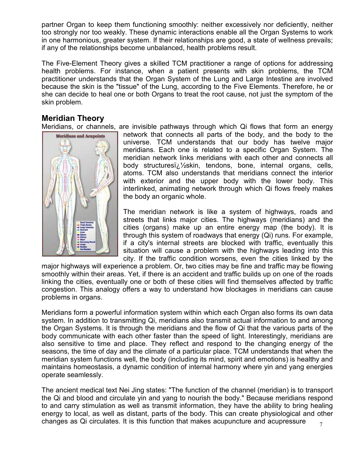partner Organ to keep them functioning smoothly: neither excessively nor deficiently, neither too strongly nor too weakly. These dynamic interactions enable all the Organ Systems to work in one harmonious, greater system. If their relationships are good, a state of wellness prevails; if any of the relationships become unbalanced, health problems result.

The Five-Element Theory gives a skilled TCM practitioner a range of options for addressing health problems. For instance, when a patient presents with skin problems, the TCM practitioner understands that the Organ System of the Lung and Large Intestine are involved because the skin is the "tissue" of the Lung, according to the Five Elements. Therefore, he or she can decide to heal one or both Organs to treat the root cause, not just the symptom of the skin problem.

# **Meridian Theory**

Meridians, or channels, are invisible pathways through which Qi flows that form an energy



network that connects all parts of the body, and the body to the universe. TCM understands that our body has twelve major meridians. Each one is related to a specific Organ System. The meridian network links meridians with each other and connects all body structures i. <sup>1</sup>/<sub>2</sub> skin, tendons, bone, internal organs, cells, atoms. TCM also understands that meridians connect the interior with exterior and the upper body with the lower body. This interlinked, animating network through which Qi flows freely makes the body an organic whole.

The meridian network is like a system of highways, roads and streets that links major cities. The highways (meridians) and the cities (organs) make up an entire energy map (the body). It is through this system of roadways that energy (Qi) runs. For example, if a city's internal streets are blocked with traffic, eventually this situation will cause a problem with the highways leading into this city. If the traffic condition worsens, even the cities linked by the

major highways will experience a problem. Or, two cities may be fine and traffic may be flowing smoothly within their areas. Yet, if there is an accident and traffic builds up on one of the roads linking the cities, eventually one or both of these cities will find themselves affected by traffic congestion. This analogy offers a way to understand how blockages in meridians can cause problems in organs.

Meridians form a powerful information system within which each Organ also forms its own data system. In addition to transmitting Qi, meridians also transmit actual information to and among the Organ Systems. It is through the meridians and the flow of Qi that the various parts of the body communicate with each other faster than the speed of light. Interestingly, meridians are also sensitive to time and place. They reflect and respond to the changing energy of the seasons, the time of day and the climate of a particular place. TCM understands that when the meridian system functions well, the body (including its mind, spirit and emotions) is healthy and maintains homeostasis, a dynamic condition of internal harmony where yin and yang energies operate seamlessly.

7 The ancient medical text Nei Jing states: "The function of the channel (meridian) is to transport the Qi and blood and circulate yin and yang to nourish the body." Because meridians respond to and carry stimulation as well as transmit information, they have the ability to bring healing energy to local, as well as distant, parts of the body. This can create physiological and other changes as Qi circulates. It is this function that makes acupuncture and acupressure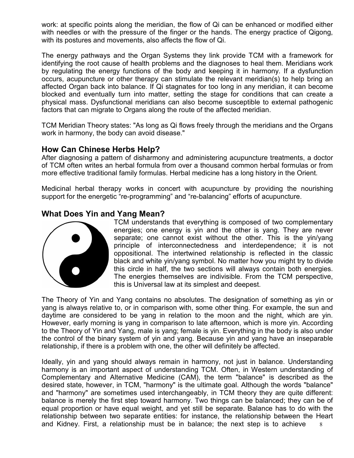work: at specific points along the meridian, the flow of Qi can be enhanced or modified either with needles or with the pressure of the finger or the hands. The energy practice of Qigong, with its postures and movements, also affects the flow of Qi.

The energy pathways and the Organ Systems they link provide TCM with a framework for identifying the root cause of health problems and the diagnoses to heal them. Meridians work by regulating the energy functions of the body and keeping it in harmony. If a dysfunction occurs, acupuncture or other therapy can stimulate the relevant meridian(s) to help bring an affected Organ back into balance. If Qi stagnates for too long in any meridian, it can become blocked and eventually turn into matter, setting the stage for conditions that can create a physical mass. Dysfunctional meridians can also become susceptible to external pathogenic factors that can migrate to Organs along the route of the affected meridian.

TCM Meridian Theory states: "As long as Qi flows freely through the meridians and the Organs work in harmony, the body can avoid disease."

#### **How Can Chinese Herbs Help?**

After diagnosing a pattern of disharmony and administering acupuncture treatments, a doctor of TCM often writes an herbal formula from over a thousand common herbal formulas or from more effective traditional family formulas. Herbal medicine has a long history in the Orient.

Medicinal herbal therapy works in concert with acupuncture by providing the nourishing support for the energetic "re-programming" and "re-balancing" efforts of acupuncture.

## **What Does Yin and Yang Mean?**



TCM understands that everything is composed of two complementary energies; one energy is yin and the other is yang. They are never separate; one cannot exist without the other. This is the yin/yang principle of interconnectedness and interdependence; it is not oppositional. The intertwined relationship is reflected in the classic black and white yin/yang symbol. No matter how you might try to divide this circle in half, the two sections will always contain both energies. The energies themselves are indivisible. From the TCM perspective, this is Universal law at its simplest and deepest.

The Theory of Yin and Yang contains no absolutes. The designation of something as yin or yang is always relative to, or in comparison with, some other thing. For example, the sun and daytime are considered to be yang in relation to the moon and the night, which are yin. However, early morning is yang in comparison to late afternoon, which is more yin. According to the Theory of Yin and Yang, male is yang; female is yin. Everything in the body is also under the control of the binary system of yin and yang. Because yin and yang have an inseparable relationship, if there is a problem with one, the other will definitely be affected.

8 Ideally, yin and yang should always remain in harmony, not just in balance. Understanding harmony is an important aspect of understanding TCM. Often, in Western understanding of Complementary and Alternative Medicine (CAM), the term "balance" is described as the desired state, however, in TCM, "harmony" is the ultimate goal. Although the words "balance" and "harmony" are sometimes used interchangeably, in TCM theory they are quite different: balance is merely the first step toward harmony. Two things can be balanced; they can be of equal proportion or have equal weight, and yet still be separate. Balance has to do with the relationship between two separate entities: for instance, the relationship between the Heart and Kidney. First, a relationship must be in balance; the next step is to achieve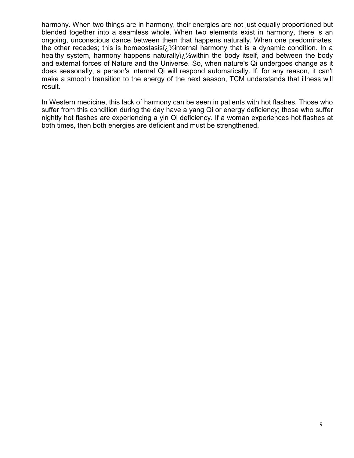harmony. When two things are in harmony, their energies are not just equally proportioned but blended together into a seamless whole. When two elements exist in harmony, there is an ongoing, unconscious dance between them that happens naturally. When one predominates, the other recedes; this is homeostasisi $\chi$  / internal harmony that is a dynamic condition. In a healthy system, harmony happens naturallyi $\chi^2$ within the body itself, and between the body and external forces of Nature and the Universe. So, when nature's Qi undergoes change as it does seasonally, a person's internal Qi will respond automatically. If, for any reason, it can't make a smooth transition to the energy of the next season, TCM understands that illness will result.

In Western medicine, this lack of harmony can be seen in patients with hot flashes. Those who suffer from this condition during the day have a yang Qi or energy deficiency; those who suffer nightly hot flashes are experiencing a yin Qi deficiency. If a woman experiences hot flashes at both times, then both energies are deficient and must be strengthened.